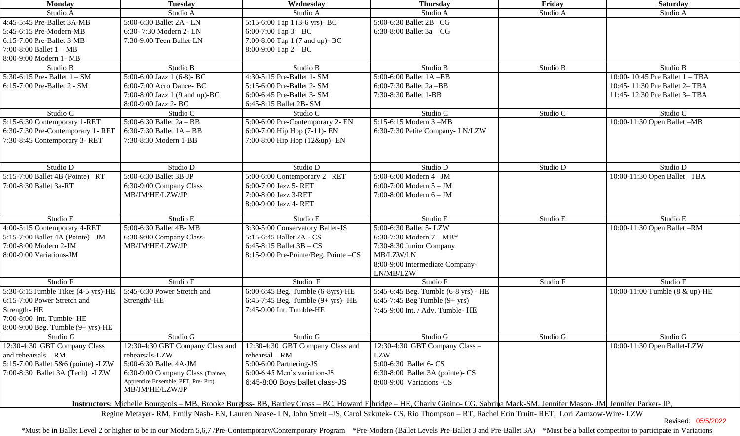| <b>Monday</b>                                                                                                                                                                           | <b>Tuesday</b>                      | Wednesday                            | <b>Thursday</b>                      | Friday   | <b>Saturday</b>                  |  |  |
|-----------------------------------------------------------------------------------------------------------------------------------------------------------------------------------------|-------------------------------------|--------------------------------------|--------------------------------------|----------|----------------------------------|--|--|
| Studio A                                                                                                                                                                                | Studio A                            | Studio A                             | Studio A                             | Studio A | Studio A                         |  |  |
| 4:45-5:45 Pre-Ballet 3A-MB                                                                                                                                                              | 5:00-6:30 Ballet 2A - LN            | 5:15-6:00 Tap 1 (3-6 yrs)- BC        | 5:00-6:30 Ballet 2B-CG               |          |                                  |  |  |
| 5:45-6:15 Pre-Modern-MB                                                                                                                                                                 | 6:30-7:30 Modern 2-LN               | 6:00-7:00 Tap $3 - BC$               | 6:30-8:00 Ballet $3a - CG$           |          |                                  |  |  |
| 6:15-7:00 Pre-Ballet 3-MB                                                                                                                                                               | 7:30-9:00 Teen Ballet-LN            | 7:00-8:00 Tap 1 (7 and up)- BC       |                                      |          |                                  |  |  |
| 7:00-8:00 Ballet $1 - MB$                                                                                                                                                               |                                     | 8:00-9:00 Tap $2 - BC$               |                                      |          |                                  |  |  |
| 8:00-9:00 Modern 1- MB                                                                                                                                                                  |                                     |                                      |                                      |          |                                  |  |  |
| Studio B                                                                                                                                                                                | Studio B                            | Studio B                             | Studio B                             | Studio B | Studio B                         |  |  |
| 5:30-6:15 Pre- Ballet $1 - SM$                                                                                                                                                          | 5:00-6:00 Jazz 1 (6-8)- BC          | 4:30-5:15 Pre-Ballet 1- SM           | $5:00-6:00$ Ballet $1A - BB$         |          | 10:00-10:45 Pre Ballet $1 - TBA$ |  |  |
| 6:15-7:00 Pre-Ballet 2 - SM                                                                                                                                                             | 6:00-7:00 Acro Dance- BC            | 5:15-6:00 Pre-Ballet 2- SM           | 6:00-7:30 Ballet 2a -BB              |          | 10:45-11:30 Pre Ballet 2-TBA     |  |  |
|                                                                                                                                                                                         | 7:00-8:00 Jazz 1 (9 and up)-BC      | 6:00-6:45 Pre-Ballet 3- SM           | 7:30-8:30 Ballet 1-BB                |          | 11:45-12:30 Pre Ballet 3-TBA     |  |  |
|                                                                                                                                                                                         | 8:00-9:00 Jazz 2- BC                | 6:45-8:15 Ballet 2B-SM               |                                      |          |                                  |  |  |
| Studio C                                                                                                                                                                                | Studio $\overline{C}$               | Studio C                             | Studio C                             | Studio C | Studio C                         |  |  |
| 5:15-6:30 Contemporary 1-RET                                                                                                                                                            | 5:00-6:30 Ballet $2a - BB$          | 5:00-6:00 Pre-Contemporary 2- EN     | 5:15-6:15 Modern 3 -MB               |          | 10:00-11:30 Open Ballet -MB      |  |  |
| 6:30-7:30 Pre-Contemporary 1- RET                                                                                                                                                       | 6:30-7:30 Ballet $1A - BB$          | 6:00-7:00 Hip Hop (7-11)- EN         | 6:30-7:30 Petite Company- LN/LZW     |          |                                  |  |  |
| 7:30-8:45 Contemporary 3-RET                                                                                                                                                            | 7:30-8:30 Modern 1-BB               | 7:00-8:00 Hip Hop (12&up)- EN        |                                      |          |                                  |  |  |
|                                                                                                                                                                                         |                                     |                                      |                                      |          |                                  |  |  |
|                                                                                                                                                                                         |                                     |                                      |                                      |          |                                  |  |  |
| Studio D                                                                                                                                                                                | Studio D                            | Studio D                             | Studio D                             | Studio D | Studio D                         |  |  |
| $5:15-7:00$ Ballet 4B (Pointe) $-RT$                                                                                                                                                    | 5:00-6:30 Ballet 3B-JP              | 5:00-6:00 Contemporary 2- RET        | 5:00-6:00 Modern 4-JM                |          | 10:00-11:30 Open Ballet -TBA     |  |  |
| 7:00-8:30 Ballet 3a-RT                                                                                                                                                                  | 6:30-9:00 Company Class             | 6:00-7:00 Jazz 5- RET                | 6:00-7:00 Modern $5 - JM$            |          |                                  |  |  |
|                                                                                                                                                                                         | MB/JM/HE/LZW/JP                     | 7:00-8:00 Jazz 3-RET                 | 7:00-8:00 Modern 6 - JM              |          |                                  |  |  |
|                                                                                                                                                                                         |                                     | 8:00-9:00 Jazz 4- RET                |                                      |          |                                  |  |  |
| Studio E                                                                                                                                                                                | Studio E                            | Studio E                             | Studio E                             | Studio E | Studio E                         |  |  |
| 4:00-5:15 Contemporary 4-RET                                                                                                                                                            | 5:00-6:30 Ballet 4B-MB              | 3:30-5:00 Conservatory Ballet-JS     | 5:00-6:30 Ballet 5- LZW              |          | 10:00-11:30 Open Ballet -RM      |  |  |
| 5:15-7:00 Ballet 4A (Pointe)- JM                                                                                                                                                        | 6:30-9:00 Company Class-            | 5:15-6:45 Ballet 2A - CS             | 6:30-7:30 Modern $7 - MB^*$          |          |                                  |  |  |
| 7:00-8:00 Modern 2-JM                                                                                                                                                                   | MB/JM/HE/LZW/JP                     | 6:45-8:15 Ballet $3B - CS$           | 7:30-8:30 Junior Company             |          |                                  |  |  |
| 8:00-9:00 Variations-JM                                                                                                                                                                 |                                     | 8:15-9:00 Pre-Pointe/Beg. Pointe -CS | MB/LZW/LN                            |          |                                  |  |  |
|                                                                                                                                                                                         |                                     |                                      | 8:00-9:00 Intermediate Company-      |          |                                  |  |  |
|                                                                                                                                                                                         |                                     |                                      | LN/MB/LZW                            |          |                                  |  |  |
| Studio F                                                                                                                                                                                | Studio F                            | Studio F                             | Studio F                             | Studio F | Studio F                         |  |  |
| 5:30-6:15Tumble Tikes (4-5 yrs)-HE                                                                                                                                                      | 5:45-6:30 Power Stretch and         | 6:00-6:45 Beg. Tumble (6-8yrs)-HE    | 5:45-6:45 Beg. Tumble (6-8 yrs) - HE |          | 10:00-11:00 Tumble (8 & up)-HE   |  |  |
| 6:15-7:00 Power Stretch and                                                                                                                                                             | Strength/-HE                        | 6:45-7:45 Beg. Tumble (9+ yrs)- HE   | 6:45-7:45 Beg Tumble $(9 + yrs)$     |          |                                  |  |  |
| Strength-HE                                                                                                                                                                             |                                     | 7:45-9:00 Int. Tumble-HE             | 7:45-9:00 Int. / Adv. Tumble- HE     |          |                                  |  |  |
| 7:00-8:00 Int. Tumble- HE                                                                                                                                                               |                                     |                                      |                                      |          |                                  |  |  |
| 8:00-9:00 Beg. Tumble (9+ yrs)-HE                                                                                                                                                       |                                     |                                      |                                      |          |                                  |  |  |
| Studio G                                                                                                                                                                                | Studio G                            | Studio G                             | Studio G                             | Studio G | Studio G                         |  |  |
| 12:30-4:30 GBT Company Class                                                                                                                                                            | 12:30-4:30 GBT Company Class and    | 12:30-4:30 GBT Company Class and     | 12:30-4:30 GBT Company Class -       |          | 10:00-11:30 Open Ballet-LZW      |  |  |
| and rehearsals - RM                                                                                                                                                                     | rehearsals-LZW                      | $rehearsal - RM$                     | <b>LZW</b>                           |          |                                  |  |  |
| 5:15-7:00 Ballet 5&6 (pointe) -LZW                                                                                                                                                      | 5:00-6:30 Ballet 4A-JM              | 5:00-6:00 Partnering-JS              | 5:00-6:30 Ballet 6- CS               |          |                                  |  |  |
| 7:00-8:30 Ballet 3A (Tech) -LZW                                                                                                                                                         | 6:30-9:00 Company Class (Trainee,   | 6:00-6:45 Men's variation-JS         | 6:30-8:00 Ballet 3A (pointe)- CS     |          |                                  |  |  |
|                                                                                                                                                                                         | Apprentice Ensemble, PPT, Pre- Pro) | 6:45-8:00 Boys ballet class-JS       | 8:00-9:00 Variations -CS             |          |                                  |  |  |
|                                                                                                                                                                                         | MB/JM/HE/LZW/JP                     |                                      |                                      |          |                                  |  |  |
| <b>Instructors:</b> Michelle Bourgeois – MB, Brooke Burgess- BB, Bartley Cross – BC, Howard Ethridge – HE, Charly Gioino- CG, Sabrina Mack-SM, Jennifer Mason- JM, Jennifer Parker- JP, |                                     |                                      |                                      |          |                                  |  |  |
| Regine Metayer- RM, Emily Nash- EN, Lauren Nease- LN, John Streit - JS, Carol Szkutek- CS, Rio Thompson - RT, Rachel Erin Truitt- RET, Lori Zamzow-Wire- LZW                            |                                     |                                      |                                      |          |                                  |  |  |
|                                                                                                                                                                                         |                                     |                                      |                                      |          |                                  |  |  |

Revised: 05/5/2022

\*Must be in Ballet Level 2 or higher to be in our Modern 5,6,7 /Pre-Contemporary/Contemporary Program \*Pre-Modern (Ballet Levels Pre-Ballet 3 and Pre-Ballet 3A) \*Must be a ballet competitor to participate in Variations